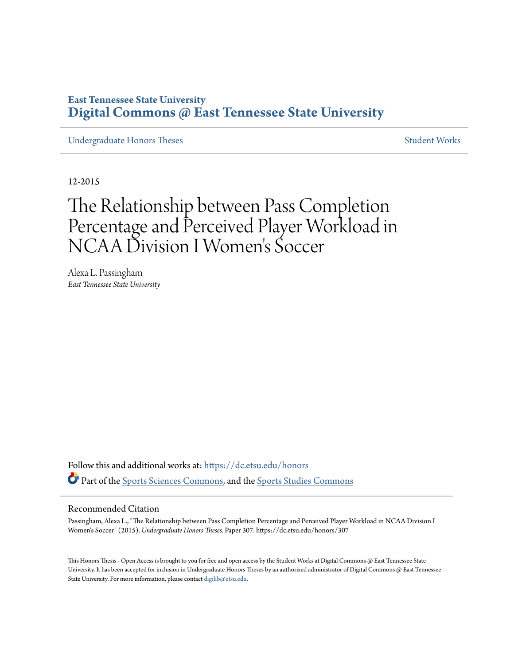# **East Tennessee State University [Digital Commons @ East Tennessee State University](https://dc.etsu.edu?utm_source=dc.etsu.edu%2Fhonors%2F307&utm_medium=PDF&utm_campaign=PDFCoverPages)**

[Undergraduate Honors Theses](https://dc.etsu.edu/honors?utm_source=dc.etsu.edu%2Fhonors%2F307&utm_medium=PDF&utm_campaign=PDFCoverPages) [Student Works](https://dc.etsu.edu/student-works?utm_source=dc.etsu.edu%2Fhonors%2F307&utm_medium=PDF&utm_campaign=PDFCoverPages)

12-2015

# The Relationship between Pass Completion Percentage and Perceived Player Workload in NCAA Division I Women 's Soccer

Alexa L. Passingham *East Tennessee State University*

Follow this and additional works at: [https://dc.etsu.edu/honors](https://dc.etsu.edu/honors?utm_source=dc.etsu.edu%2Fhonors%2F307&utm_medium=PDF&utm_campaign=PDFCoverPages) Part of the [Sports Sciences Commons,](http://network.bepress.com/hgg/discipline/759?utm_source=dc.etsu.edu%2Fhonors%2F307&utm_medium=PDF&utm_campaign=PDFCoverPages) and the [Sports Studies Commons](http://network.bepress.com/hgg/discipline/1198?utm_source=dc.etsu.edu%2Fhonors%2F307&utm_medium=PDF&utm_campaign=PDFCoverPages)

#### Recommended Citation

Passingham, Alexa L., "The Relationship between Pass Completion Percentage and Perceived Player Workload in NCAA Division I Women's Soccer" (2015). *Undergraduate Honors Theses.* Paper 307. https://dc.etsu.edu/honors/307

This Honors Thesis - Open Access is brought to you for free and open access by the Student Works at Digital Commons @ East Tennessee State University. It has been accepted for inclusion in Undergraduate Honors Theses by an authorized administrator of Digital Commons @ East Tennessee State University. For more information, please contact [digilib@etsu.edu.](mailto:digilib@etsu.edu)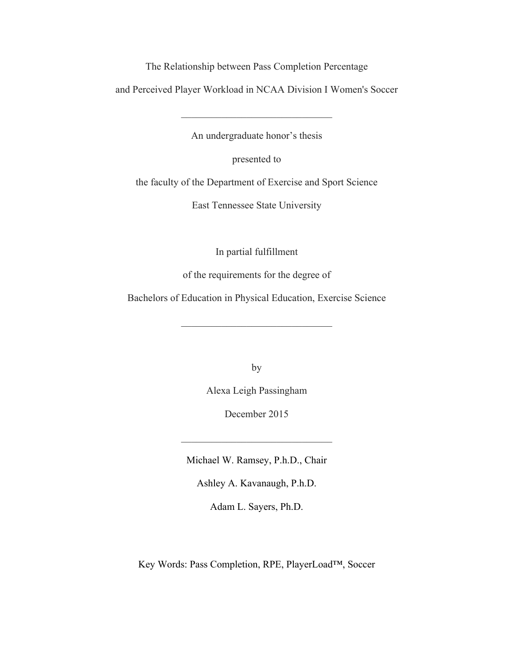The Relationship between Pass Completion Percentage

and Perceived Player Workload in NCAA Division I Women's Soccer

An undergraduate honor's thesis

 $\mathcal{L}_\text{max}$  , and the set of the set of the set of the set of the set of the set of the set of the set of the set of the set of the set of the set of the set of the set of the set of the set of the set of the set of the

presented to

the faculty of the Department of Exercise and Sport Science

East Tennessee State University

In partial fulfillment

of the requirements for the degree of

Bachelors of Education in Physical Education, Exercise Science

 $\mathcal{L}_\text{max}$ 

by

Alexa Leigh Passingham

December 2015

 $\mathcal{L}_\text{max}$ 

Michael W. Ramsey, P.h.D., Chair

Ashley A. Kavanaugh, P.h.D.

Adam L. Sayers, Ph.D.

Key Words: Pass Completion, RPE, PlayerLoad™, Soccer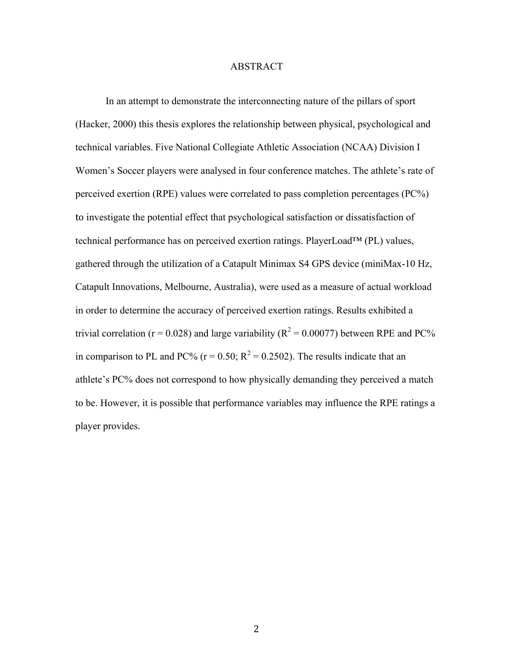## ABSTRACT

In an attempt to demonstrate the interconnecting nature of the pillars of sport (Hacker, 2000) this thesis explores the relationship between physical, psychological and technical variables. Five National Collegiate Athletic Association (NCAA) Division I Women's Soccer players were analysed in four conference matches. The athlete's rate of perceived exertion (RPE) values were correlated to pass completion percentages (PC%) to investigate the potential effect that psychological satisfaction or dissatisfaction of technical performance has on perceived exertion ratings. PlayerLoad™ (PL) values, gathered through the utilization of a Catapult Minimax S4 GPS device (miniMax-10 Hz, Catapult Innovations, Melbourne, Australia), were used as a measure of actual workload in order to determine the accuracy of perceived exertion ratings. Results exhibited a trivial correlation ( $r = 0.028$ ) and large variability ( $R^2 = 0.00077$ ) between RPE and PC% in comparison to PL and PC% ( $r = 0.50$ ;  $R^2 = 0.2502$ ). The results indicate that an athlete's PC% does not correspond to how physically demanding they perceived a match to be. However, it is possible that performance variables may influence the RPE ratings a player provides.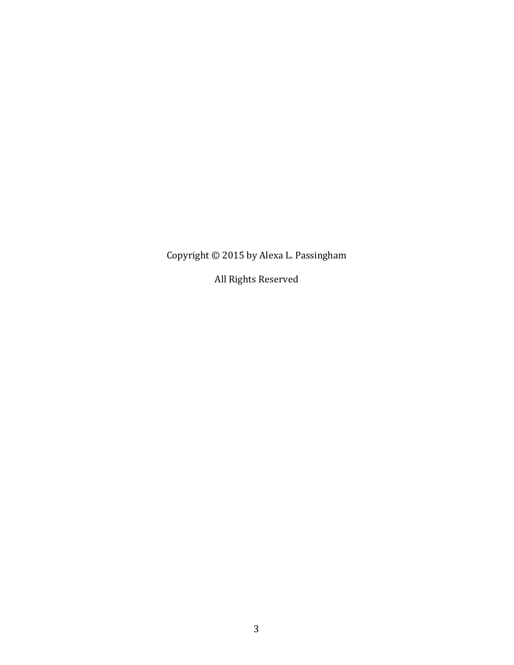Copyright  $\odot$  2015 by Alexa L. Passingham

All Rights Reserved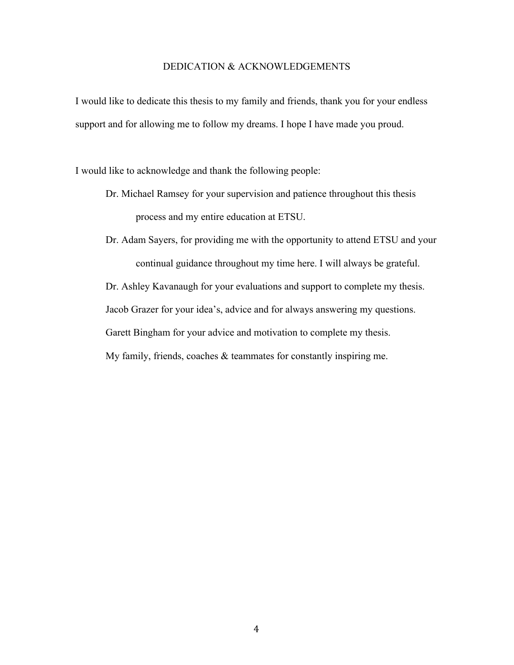# DEDICATION & ACKNOWLEDGEMENTS

I would like to dedicate this thesis to my family and friends, thank you for your endless support and for allowing me to follow my dreams. I hope I have made you proud.

I would like to acknowledge and thank the following people:

- Dr. Michael Ramsey for your supervision and patience throughout this thesis process and my entire education at ETSU.
- Dr. Adam Sayers, for providing me with the opportunity to attend ETSU and your continual guidance throughout my time here. I will always be grateful.

Dr. Ashley Kavanaugh for your evaluations and support to complete my thesis.

Jacob Grazer for your idea's, advice and for always answering my questions.

Garett Bingham for your advice and motivation to complete my thesis.

My family, friends, coaches & teammates for constantly inspiring me.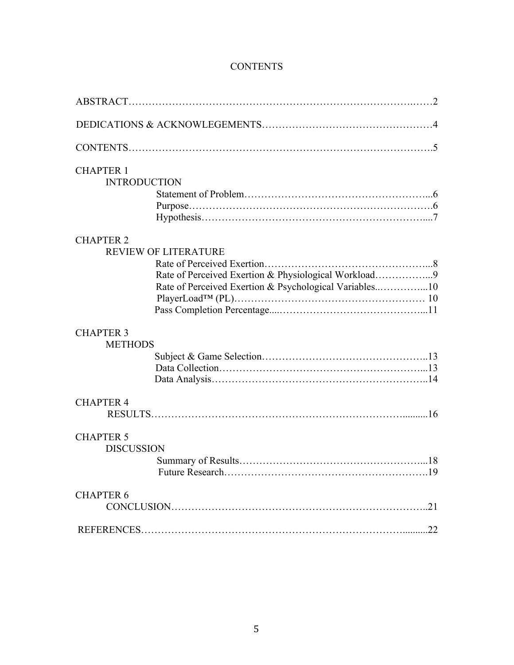| <b>CHAPTER 1</b>    |                                                        |  |
|---------------------|--------------------------------------------------------|--|
| <b>INTRODUCTION</b> |                                                        |  |
|                     |                                                        |  |
|                     |                                                        |  |
|                     |                                                        |  |
| <b>CHAPTER 2</b>    |                                                        |  |
|                     | <b>REVIEW OF LITERATURE</b>                            |  |
|                     |                                                        |  |
|                     | Rate of Perceived Exertion & Physiological Workload9   |  |
|                     | Rate of Perceived Exertion & Psychological Variables10 |  |
|                     |                                                        |  |
|                     |                                                        |  |
| <b>CHAPTER 3</b>    |                                                        |  |
| <b>METHODS</b>      |                                                        |  |
|                     |                                                        |  |
|                     |                                                        |  |
|                     |                                                        |  |
| <b>CHAPTER 4</b>    |                                                        |  |
|                     |                                                        |  |
| <b>CHAPTER 5</b>    |                                                        |  |
| <b>DISCUSSION</b>   |                                                        |  |
|                     |                                                        |  |
|                     |                                                        |  |
| <b>CHAPTER 6</b>    |                                                        |  |
|                     |                                                        |  |
|                     |                                                        |  |
|                     |                                                        |  |

# **CONTENTS**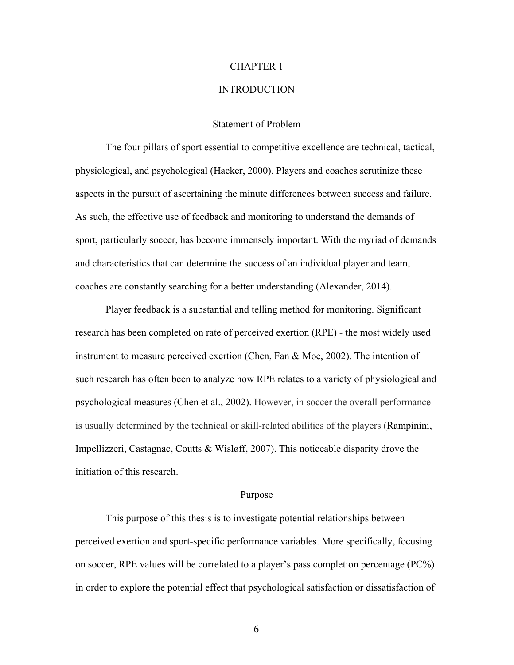# **INTRODUCTION**

# Statement of Problem

The four pillars of sport essential to competitive excellence are technical, tactical, physiological, and psychological (Hacker, 2000). Players and coaches scrutinize these aspects in the pursuit of ascertaining the minute differences between success and failure. As such, the effective use of feedback and monitoring to understand the demands of sport, particularly soccer, has become immensely important. With the myriad of demands and characteristics that can determine the success of an individual player and team, coaches are constantly searching for a better understanding (Alexander, 2014).

Player feedback is a substantial and telling method for monitoring. Significant research has been completed on rate of perceived exertion (RPE) - the most widely used instrument to measure perceived exertion (Chen, Fan & Moe, 2002). The intention of such research has often been to analyze how RPE relates to a variety of physiological and psychological measures (Chen et al., 2002). However, in soccer the overall performance is usually determined by the technical or skill-related abilities of the players (Rampinini, Impellizzeri, Castagnac, Coutts & Wisløff, 2007). This noticeable disparity drove the initiation of this research.

# Purpose

This purpose of this thesis is to investigate potential relationships between perceived exertion and sport-specific performance variables. More specifically, focusing on soccer, RPE values will be correlated to a player's pass completion percentage (PC%) in order to explore the potential effect that psychological satisfaction or dissatisfaction of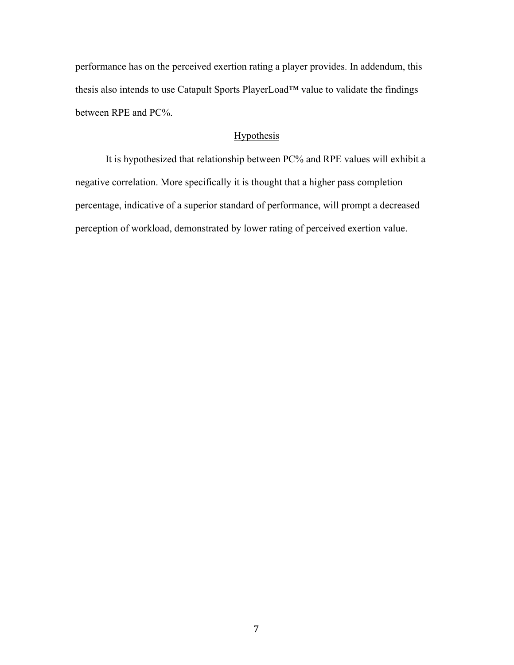performance has on the perceived exertion rating a player provides. In addendum, this thesis also intends to use Catapult Sports PlayerLoad™ value to validate the findings between RPE and PC%.

# Hypothesis

It is hypothesized that relationship between PC% and RPE values will exhibit a negative correlation. More specifically it is thought that a higher pass completion percentage, indicative of a superior standard of performance, will prompt a decreased perception of workload, demonstrated by lower rating of perceived exertion value.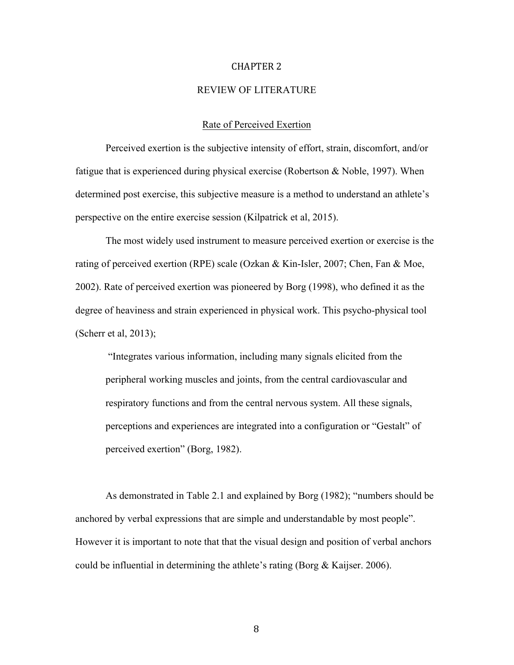# REVIEW OF LITERATURE

# Rate of Perceived Exertion

Perceived exertion is the subjective intensity of effort, strain, discomfort, and/or fatigue that is experienced during physical exercise (Robertson & Noble, 1997). When determined post exercise, this subjective measure is a method to understand an athlete's perspective on the entire exercise session (Kilpatrick et al, 2015).

The most widely used instrument to measure perceived exertion or exercise is the rating of perceived exertion (RPE) scale (Ozkan & Kin-Isler, 2007; Chen, Fan & Moe, 2002). Rate of perceived exertion was pioneered by Borg (1998), who defined it as the degree of heaviness and strain experienced in physical work. This psycho-physical tool (Scherr et al, 2013);

"Integrates various information, including many signals elicited from the peripheral working muscles and joints, from the central cardiovascular and respiratory functions and from the central nervous system. All these signals, perceptions and experiences are integrated into a configuration or "Gestalt" of perceived exertion" (Borg, 1982).

As demonstrated in Table 2.1 and explained by Borg (1982); "numbers should be anchored by verbal expressions that are simple and understandable by most people". However it is important to note that that the visual design and position of verbal anchors could be influential in determining the athlete's rating (Borg  $\&$  Kaijser. 2006).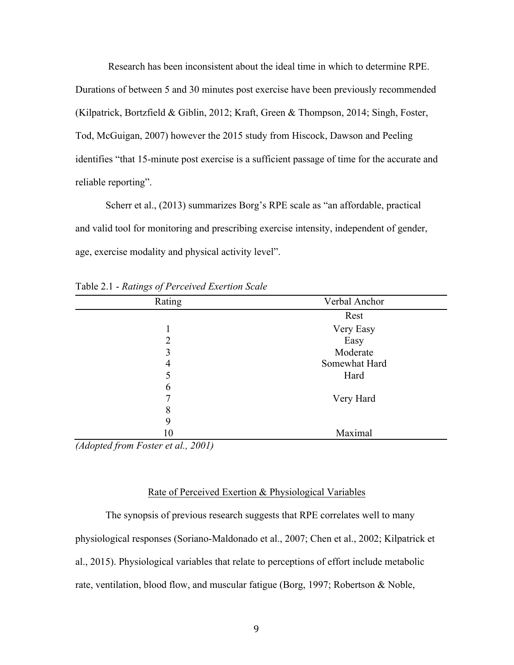Research has been inconsistent about the ideal time in which to determine RPE. Durations of between 5 and 30 minutes post exercise have been previously recommended (Kilpatrick, Bortzfield & Giblin, 2012; Kraft, Green & Thompson, 2014; Singh, Foster, Tod, McGuigan, 2007) however the 2015 study from Hiscock, Dawson and Peeling identifies "that 15-minute post exercise is a sufficient passage of time for the accurate and reliable reporting".

Scherr et al., (2013) summarizes Borg's RPE scale as "an affordable, practical and valid tool for monitoring and prescribing exercise intensity, independent of gender, age, exercise modality and physical activity level".

| Rating | Verbal Anchor |
|--------|---------------|
|        | Rest          |
|        | Very Easy     |
| 2      | Easy          |
| 3      | Moderate      |
| 4      | Somewhat Hard |
|        | Hard          |
| 6      |               |
|        | Very Hard     |
| 8      |               |
| 9      |               |
| 10     | Maximal       |

Table 2.1 - *Ratings of Perceived Exertion Scale*

*(Adopted from Foster et al., 2001)*

## Rate of Perceived Exertion & Physiological Variables

The synopsis of previous research suggests that RPE correlates well to many physiological responses (Soriano-Maldonado et al., 2007; Chen et al., 2002; Kilpatrick et al., 2015). Physiological variables that relate to perceptions of effort include metabolic rate, ventilation, blood flow, and muscular fatigue (Borg, 1997; Robertson & Noble,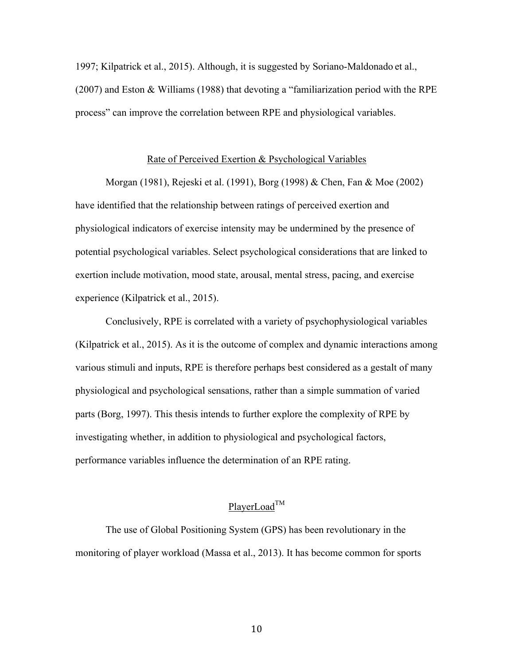1997; Kilpatrick et al., 2015). Although, it is suggested by Soriano-Maldonado et al., (2007) and Eston & Williams (1988) that devoting a "familiarization period with the RPE process" can improve the correlation between RPE and physiological variables.

## Rate of Perceived Exertion & Psychological Variables

Morgan (1981), Rejeski et al. (1991), Borg (1998) & Chen, Fan & Moe (2002) have identified that the relationship between ratings of perceived exertion and physiological indicators of exercise intensity may be undermined by the presence of potential psychological variables. Select psychological considerations that are linked to exertion include motivation, mood state, arousal, mental stress, pacing, and exercise experience (Kilpatrick et al., 2015).

Conclusively, RPE is correlated with a variety of psychophysiological variables (Kilpatrick et al., 2015). As it is the outcome of complex and dynamic interactions among various stimuli and inputs, RPE is therefore perhaps best considered as a gestalt of many physiological and psychological sensations, rather than a simple summation of varied parts (Borg, 1997). This thesis intends to further explore the complexity of RPE by investigating whether, in addition to physiological and psychological factors, performance variables influence the determination of an RPE rating.

# PlayerLoad<sup>TM</sup>

The use of Global Positioning System (GPS) has been revolutionary in the monitoring of player workload (Massa et al., 2013). It has become common for sports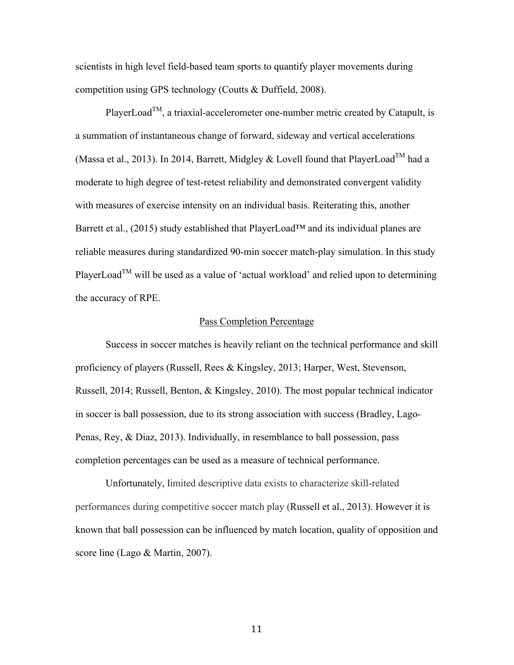scientists in high level field-based team sports to quantify player movements during competition using GPS technology (Coutts & Duffield, 2008).

PlayerLoad<sup>TM</sup>, a triaxial-accelerometer one-number metric created by Catapult, is a summation of instantaneous change of forward, sideway and vertical accelerations (Massa et al., 2013). In 2014, Barrett, Midgley & Lovell found that PlayerLoad<sup>TM</sup> had a moderate to high degree of test-retest reliability and demonstrated convergent validity with measures of exercise intensity on an individual basis. Reiterating this, another Barrett et al., (2015) study established that PlayerLoad™ and its individual planes are reliable measures during standardized 90-min soccer match-play simulation. In this study PlayerLoad<sup>TM</sup> will be used as a value of 'actual workload' and relied upon to determining the accuracy of RPE.

# Pass Completion Percentage

Success in soccer matches is heavily reliant on the technical performance and skill proficiency of players (Russell, Rees & Kingsley, 2013; Harper, West, Stevenson, Russell, 2014; Russell, Benton, & Kingsley, 2010). The most popular technical indicator in soccer is ball possession, due to its strong association with success (Bradley, Lago-Penas, Rey, & Diaz, 2013). Individually, in resemblance to ball possession, pass completion percentages can be used as a measure of technical performance.

Unfortunately, limited descriptive data exists to characterize skill-related performances during competitive soccer match play (Russell et al., 2013). However it is known that ball possession can be influenced by match location, quality of opposition and score line (Lago & Martin, 2007).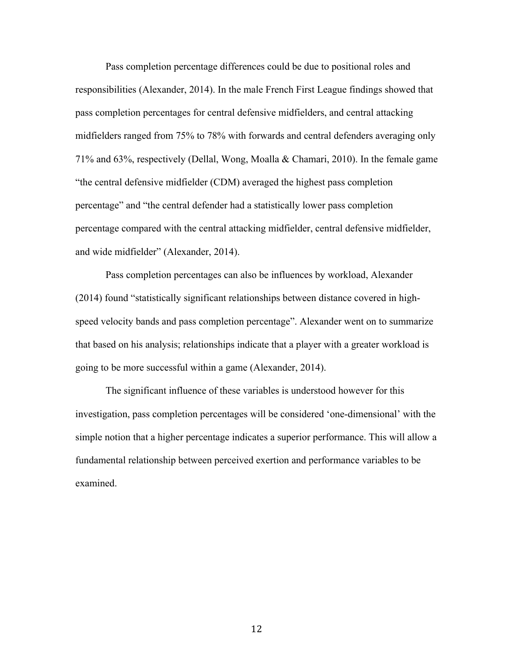Pass completion percentage differences could be due to positional roles and responsibilities (Alexander, 2014). In the male French First League findings showed that pass completion percentages for central defensive midfielders, and central attacking midfielders ranged from 75% to 78% with forwards and central defenders averaging only 71% and 63%, respectively (Dellal, Wong, Moalla & Chamari, 2010). In the female game "the central defensive midfielder (CDM) averaged the highest pass completion percentage" and "the central defender had a statistically lower pass completion percentage compared with the central attacking midfielder, central defensive midfielder, and wide midfielder" (Alexander, 2014).

Pass completion percentages can also be influences by workload, Alexander (2014) found "statistically significant relationships between distance covered in highspeed velocity bands and pass completion percentage". Alexander went on to summarize that based on his analysis; relationships indicate that a player with a greater workload is going to be more successful within a game (Alexander, 2014).

The significant influence of these variables is understood however for this investigation, pass completion percentages will be considered 'one-dimensional' with the simple notion that a higher percentage indicates a superior performance. This will allow a fundamental relationship between perceived exertion and performance variables to be examined.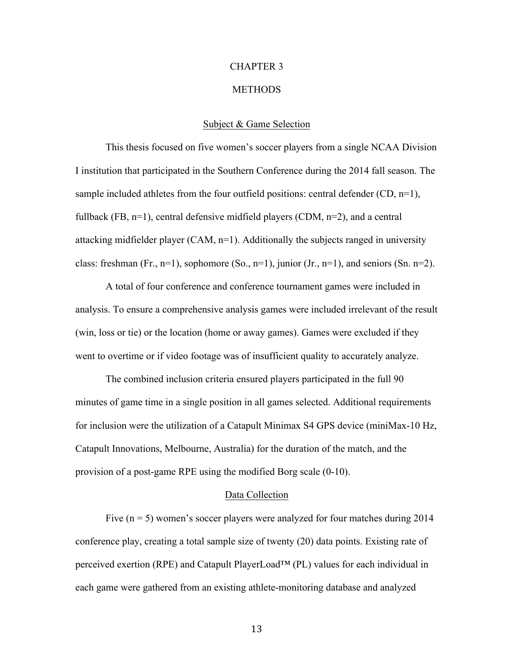#### **METHODS**

# Subject & Game Selection

This thesis focused on five women's soccer players from a single NCAA Division I institution that participated in the Southern Conference during the 2014 fall season. The sample included athletes from the four outfield positions: central defender (CD, n=1), fullback (FB,  $n=1$ ), central defensive midfield players (CDM,  $n=2$ ), and a central attacking midfielder player (CAM, n=1). Additionally the subjects ranged in university class: freshman (Fr., n=1), sophomore (So., n=1), junior (Jr., n=1), and seniors (Sn. n=2).

A total of four conference and conference tournament games were included in analysis. To ensure a comprehensive analysis games were included irrelevant of the result (win, loss or tie) or the location (home or away games). Games were excluded if they went to overtime or if video footage was of insufficient quality to accurately analyze.

The combined inclusion criteria ensured players participated in the full 90 minutes of game time in a single position in all games selected. Additional requirements for inclusion were the utilization of a Catapult Minimax S4 GPS device (miniMax-10 Hz, Catapult Innovations, Melbourne, Australia) for the duration of the match, and the provision of a post-game RPE using the modified Borg scale (0-10).

# Data Collection

Five  $(n = 5)$  women's soccer players were analyzed for four matches during 2014 conference play, creating a total sample size of twenty (20) data points. Existing rate of perceived exertion (RPE) and Catapult PlayerLoad™ (PL) values for each individual in each game were gathered from an existing athlete-monitoring database and analyzed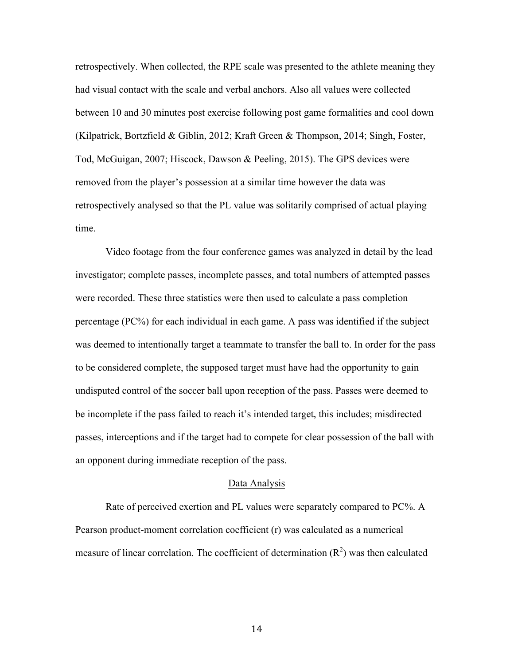retrospectively. When collected, the RPE scale was presented to the athlete meaning they had visual contact with the scale and verbal anchors. Also all values were collected between 10 and 30 minutes post exercise following post game formalities and cool down (Kilpatrick, Bortzfield & Giblin, 2012; Kraft Green & Thompson, 2014; Singh, Foster, Tod, McGuigan, 2007; Hiscock, Dawson & Peeling, 2015). The GPS devices were removed from the player's possession at a similar time however the data was retrospectively analysed so that the PL value was solitarily comprised of actual playing time.

Video footage from the four conference games was analyzed in detail by the lead investigator; complete passes, incomplete passes, and total numbers of attempted passes were recorded. These three statistics were then used to calculate a pass completion percentage (PC%) for each individual in each game. A pass was identified if the subject was deemed to intentionally target a teammate to transfer the ball to. In order for the pass to be considered complete, the supposed target must have had the opportunity to gain undisputed control of the soccer ball upon reception of the pass. Passes were deemed to be incomplete if the pass failed to reach it's intended target, this includes; misdirected passes, interceptions and if the target had to compete for clear possession of the ball with an opponent during immediate reception of the pass.

#### Data Analysis

Rate of perceived exertion and PL values were separately compared to PC%. A Pearson product-moment correlation coefficient (r) was calculated as a numerical measure of linear correlation. The coefficient of determination  $(R^2)$  was then calculated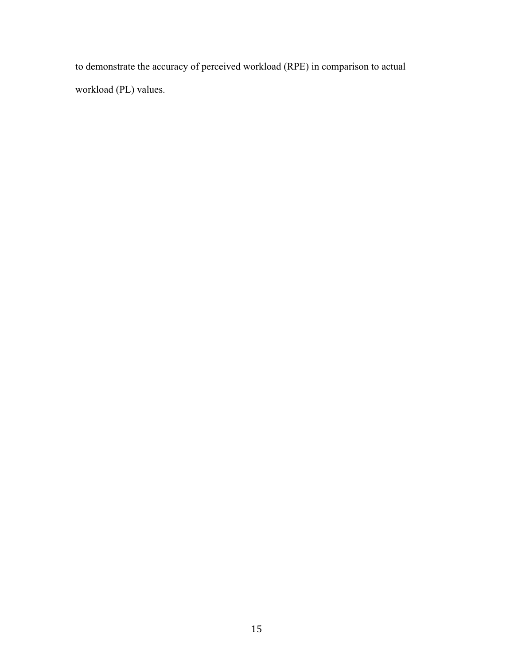to demonstrate the accuracy of perceived workload (RPE) in comparison to actual workload (PL) values.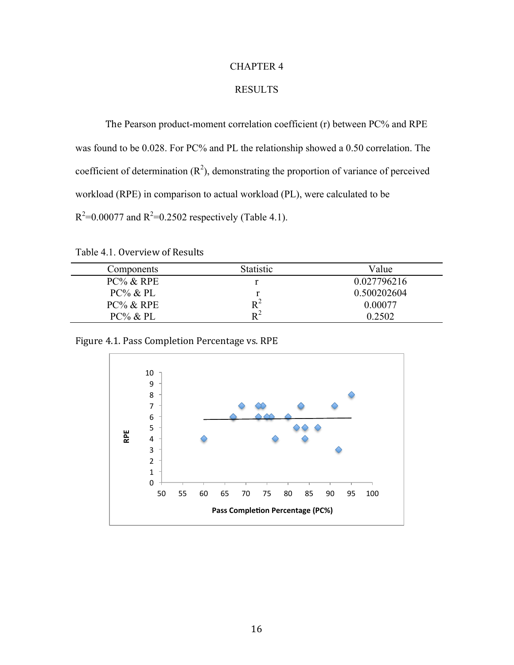# RESULTS

The Pearson product-moment correlation coefficient (r) between PC% and RPE was found to be 0.028. For PC% and PL the relationship showed a 0.50 correlation. The coefficient of determination  $(R^2)$ , demonstrating the proportion of variance of perceived workload (RPE) in comparison to actual workload (PL), were calculated to be  $R^2$ =0.00077 and  $R^2$ =0.2502 respectively (Table 4.1).

Table 4.1. Overview of Results

| Components   | <b>Statistic</b> | Value       |
|--------------|------------------|-------------|
| $PC\%$ & RPE |                  | 0.027796216 |
| $PC\%$ & PL  |                  | 0.500202604 |
| $PC\%$ & RPE | $R^2$            | 0.00077     |
| $PC\%$ & PL  | $\mathbf{p}^2$   | 0.2502      |

Figure 4.1. Pass Completion Percentage vs. RPE

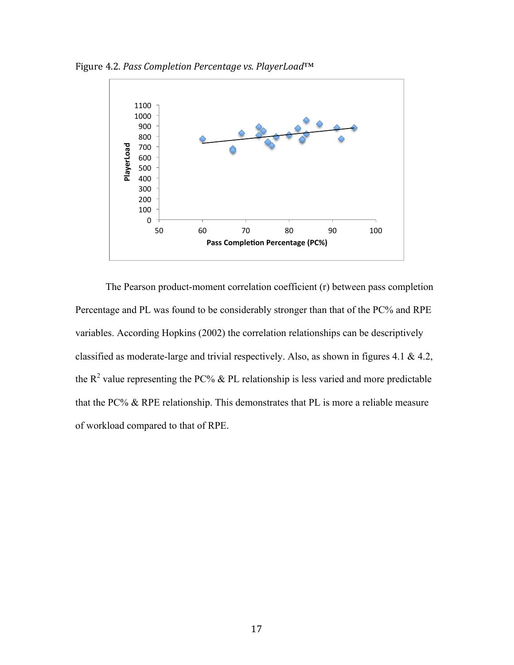Figure 4.2. *Pass Completion Percentage vs. PlayerLoad*™



The Pearson product-moment correlation coefficient (r) between pass completion Percentage and PL was found to be considerably stronger than that of the PC% and RPE variables. According Hopkins (2002) the correlation relationships can be descriptively classified as moderate-large and trivial respectively. Also, as shown in figures 4.1 & 4.2, the  $R^2$  value representing the PC% & PL relationship is less varied and more predictable that the PC% & RPE relationship. This demonstrates that PL is more a reliable measure of workload compared to that of RPE.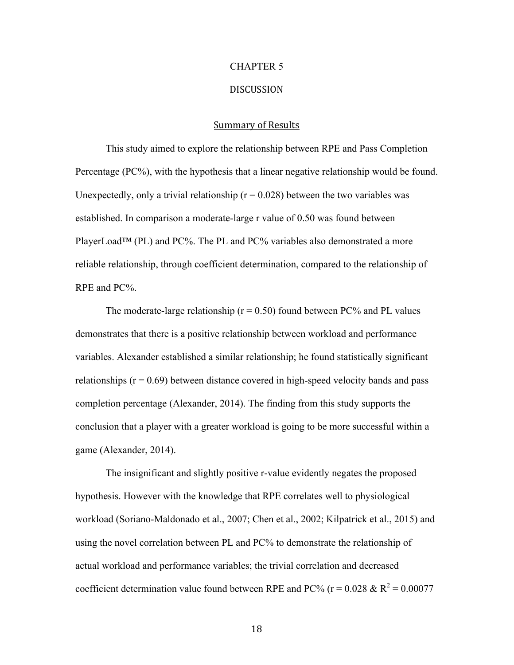# DISCUSSION

## Summary of Results

This study aimed to explore the relationship between RPE and Pass Completion Percentage (PC%), with the hypothesis that a linear negative relationship would be found. Unexpectedly, only a trivial relationship  $(r = 0.028)$  between the two variables was established. In comparison a moderate-large r value of 0.50 was found between PlayerLoad<sup>™</sup> (PL) and PC%. The PL and PC% variables also demonstrated a more reliable relationship, through coefficient determination, compared to the relationship of RPE and PC%.

The moderate-large relationship ( $r = 0.50$ ) found between PC% and PL values demonstrates that there is a positive relationship between workload and performance variables. Alexander established a similar relationship; he found statistically significant relationships ( $r = 0.69$ ) between distance covered in high-speed velocity bands and pass completion percentage (Alexander, 2014). The finding from this study supports the conclusion that a player with a greater workload is going to be more successful within a game (Alexander, 2014).

The insignificant and slightly positive r-value evidently negates the proposed hypothesis. However with the knowledge that RPE correlates well to physiological workload (Soriano-Maldonado et al., 2007; Chen et al., 2002; Kilpatrick et al., 2015) and using the novel correlation between PL and PC% to demonstrate the relationship of actual workload and performance variables; the trivial correlation and decreased coefficient determination value found between RPE and PC% ( $r = 0.028 \& R^2 = 0.00077$ )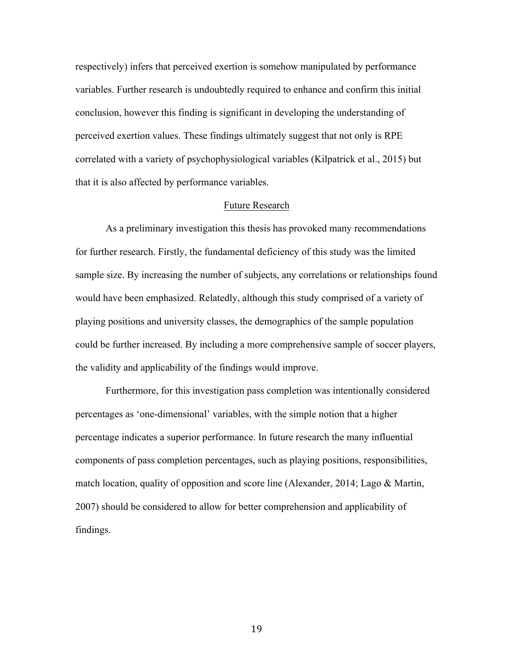respectively) infers that perceived exertion is somehow manipulated by performance variables. Further research is undoubtedly required to enhance and confirm this initial conclusion, however this finding is significant in developing the understanding of perceived exertion values. These findings ultimately suggest that not only is RPE correlated with a variety of psychophysiological variables (Kilpatrick et al., 2015) but that it is also affected by performance variables.

# Future Research

As a preliminary investigation this thesis has provoked many recommendations for further research. Firstly, the fundamental deficiency of this study was the limited sample size. By increasing the number of subjects, any correlations or relationships found would have been emphasized. Relatedly, although this study comprised of a variety of playing positions and university classes, the demographics of the sample population could be further increased. By including a more comprehensive sample of soccer players, the validity and applicability of the findings would improve.

Furthermore, for this investigation pass completion was intentionally considered percentages as 'one-dimensional' variables, with the simple notion that a higher percentage indicates a superior performance. In future research the many influential components of pass completion percentages, such as playing positions, responsibilities, match location, quality of opposition and score line (Alexander, 2014; Lago & Martin, 2007) should be considered to allow for better comprehension and applicability of findings.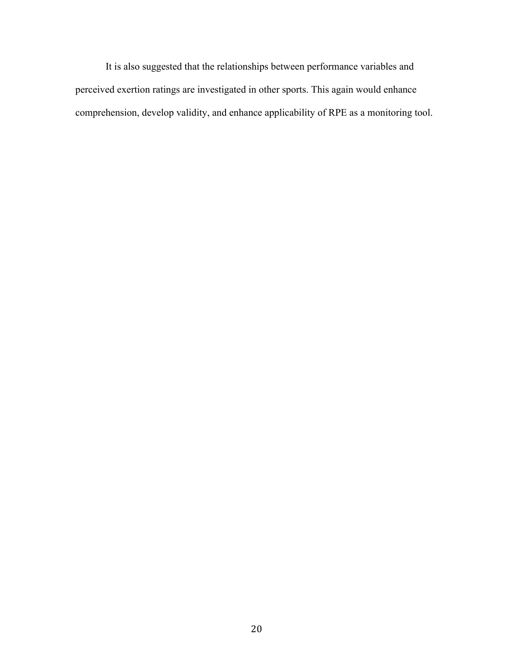It is also suggested that the relationships between performance variables and perceived exertion ratings are investigated in other sports. This again would enhance comprehension, develop validity, and enhance applicability of RPE as a monitoring tool.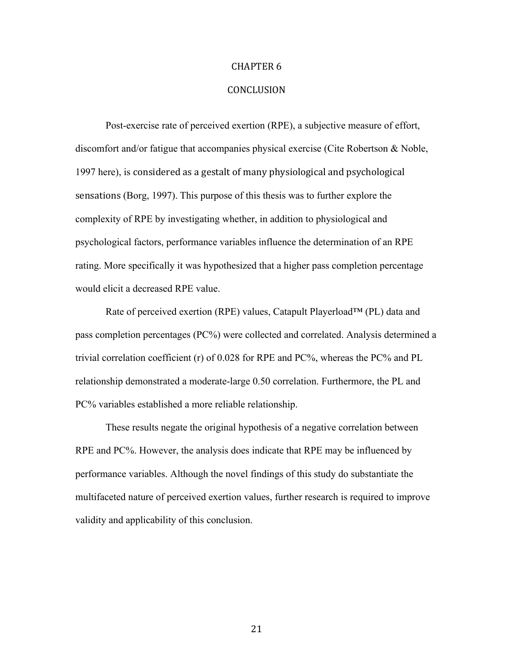# **CONCLUSION**

Post-exercise rate of perceived exertion (RPE), a subjective measure of effort, discomfort and/or fatigue that accompanies physical exercise (Cite Robertson & Noble, 1997 here), is considered as a gestalt of many physiological and psychological sensations (Borg, 1997). This purpose of this thesis was to further explore the complexity of RPE by investigating whether, in addition to physiological and psychological factors, performance variables influence the determination of an RPE rating. More specifically it was hypothesized that a higher pass completion percentage would elicit a decreased RPE value.

Rate of perceived exertion (RPE) values, Catapult Playerload™ (PL) data and pass completion percentages (PC%) were collected and correlated. Analysis determined a trivial correlation coefficient (r) of 0.028 for RPE and PC%, whereas the PC% and PL relationship demonstrated a moderate-large 0.50 correlation. Furthermore, the PL and PC% variables established a more reliable relationship.

These results negate the original hypothesis of a negative correlation between RPE and PC%. However, the analysis does indicate that RPE may be influenced by performance variables. Although the novel findings of this study do substantiate the multifaceted nature of perceived exertion values, further research is required to improve validity and applicability of this conclusion.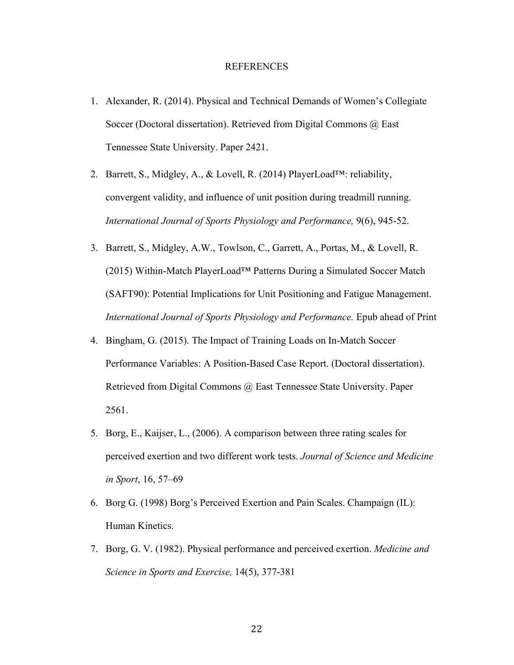# REFERENCES

- 1. Alexander, R. (2014). Physical and Technical Demands of Women's Collegiate Soccer (Doctoral dissertation). Retrieved from Digital Commons @ East Tennessee State University. Paper 2421.
- 2. Barrett, S., Midgley, A., & Lovell, R. (2014) PlayerLoad™: reliability, convergent validity, and influence of unit position during treadmill running. *International Journal of Sports Physiology and Performance,* 9(6), 945-52.
- 3. Barrett, S., Midgley, A.W., Towlson, C., Garrett, A., Portas, M., & Lovell, R. (2015) Within-Match PlayerLoad™ Patterns During a Simulated Soccer Match (SAFT90): Potential Implications for Unit Positioning and Fatigue Management. *International Journal of Sports Physiology and Performance.* Epub ahead of Print
- 4. Bingham, G. (2015). The Impact of Training Loads on In-Match Soccer Performance Variables: A Position-Based Case Report. (Doctoral dissertation). Retrieved from Digital Commons @ East Tennessee State University. Paper 2561.
- 5. Borg, E., Kaijser, L., (2006). A comparison between three rating scales for perceived exertion and two different work tests. *Journal of Science and Medicine in Sport*, 16, 57–69
- 6. Borg G. (1998) Borg's Perceived Exertion and Pain Scales. Champaign (IL): Human Kinetics.
- 7. Borg, G. V. (1982). Physical performance and perceived exertion. *Medicine and Science in Sports and Exercise,* 14(5), 377-381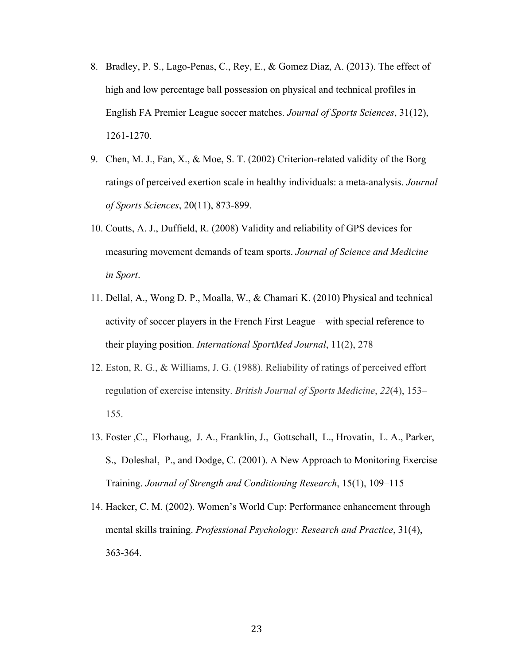- 8. Bradley, P. S., Lago-Penas, C., Rey, E., & Gomez Diaz, A. (2013). The effect of high and low percentage ball possession on physical and technical profiles in English FA Premier League soccer matches. *Journal of Sports Sciences*, 31(12), 1261-1270.
- 9. Chen, M. J., Fan, X., & Moe, S. T. (2002) Criterion-related validity of the Borg ratings of perceived exertion scale in healthy individuals: a meta-analysis. *Journal of Sports Sciences*, 20(11), 873-899.
- 10. Coutts, A. J., Duffield, R. (2008) Validity and reliability of GPS devices for measuring movement demands of team sports. *Journal of Science and Medicine in Sport*.
- 11. Dellal, A., Wong D. P., Moalla, W., & Chamari K. (2010) Physical and technical activity of soccer players in the French First League – with special reference to their playing position. *International SportMed Journal*, 11(2), 278
- 12. Eston, R. G., & Williams, J. G. (1988). Reliability of ratings of perceived effort regulation of exercise intensity. *British Journal of Sports Medicine*, *22*(4), 153– 155.
- 13. Foster ,C., Florhaug, J. A., Franklin, J., Gottschall, L., Hrovatin, L. A., Parker, S., Doleshal, P., and Dodge, C. (2001). A New Approach to Monitoring Exercise Training. *Journal of Strength and Conditioning Research*, 15(1), 109–115
- 14. Hacker, C. M. (2002). Women's World Cup: Performance enhancement through mental skills training. *Professional Psychology: Research and Practice*, 31(4), 363-364.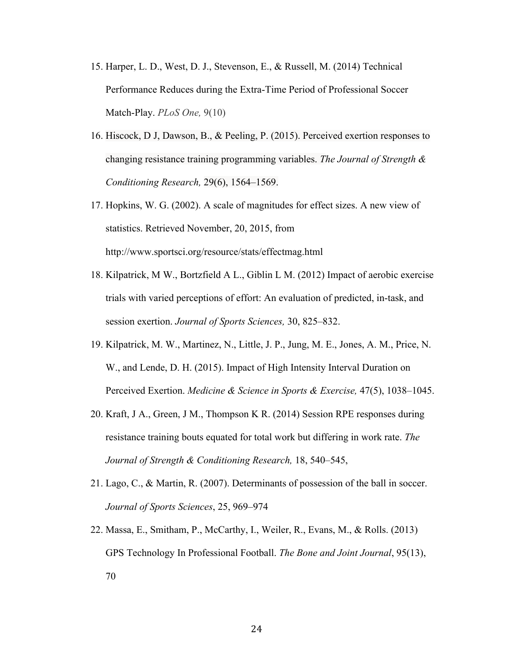- 15. Harper, L. D., West, D. J., Stevenson, E., & Russell, M. (2014) Technical Performance Reduces during the Extra-Time Period of Professional Soccer Match-Play. *PLoS One,* 9(10)
- 16. Hiscock, D J, Dawson, B., & Peeling, P. (2015). Perceived exertion responses to changing resistance training programming variables. *The Journal of Strength & Conditioning Research,* 29(6), 1564–1569.
- 17. Hopkins, W. G. (2002). A scale of magnitudes for effect sizes. A new view of statistics. Retrieved November, 20, 2015, from http://www.sportsci.org/resource/stats/effectmag.html
- 18. Kilpatrick, M W., Bortzfield A L., Giblin L M. (2012) Impact of aerobic exercise trials with varied perceptions of effort: An evaluation of predicted, in-task, and session exertion. *Journal of Sports Sciences,* 30, 825–832.
- 19. Kilpatrick, M. W., Martinez, N., Little, J. P., Jung, M. E., Jones, A. M., Price, N. W., and Lende, D. H. (2015). Impact of High Intensity Interval Duration on Perceived Exertion. *Medicine & Science in Sports & Exercise,* 47(5), 1038–1045.
- 20. Kraft, J A., Green, J M., Thompson K R. (2014) Session RPE responses during resistance training bouts equated for total work but differing in work rate. *The Journal of Strength & Conditioning Research,* 18, 540–545,
- 21. Lago, C., & Martin, R. (2007). Determinants of possession of the ball in soccer. *Journal of Sports Sciences*, 25, 969–974
- 22. Massa, E., Smitham, P., McCarthy, I., Weiler, R., Evans, M., & Rolls. (2013) GPS Technology In Professional Football. *The Bone and Joint Journal*, 95(13), 70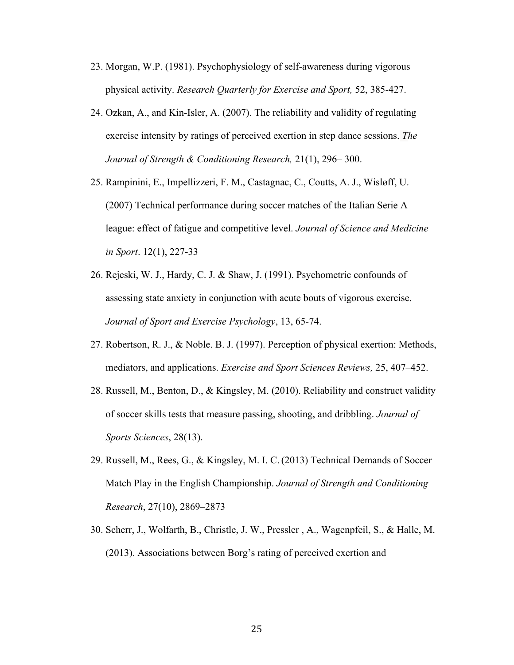- 23. Morgan, W.P. (1981). Psychophysiology of self-awareness during vigorous physical activity. *Research Quarterly for Exercise and Sport,* 52, 385-427.
- 24. Ozkan, A., and Kin-Isler, A. (2007). The reliability and validity of regulating exercise intensity by ratings of perceived exertion in step dance sessions. *The Journal of Strength & Conditioning Research,* 21(1), 296– 300.
- 25. Rampinini, E., Impellizzeri, F. M., Castagnac, C., Coutts, A. J., Wisløff, U. (2007) Technical performance during soccer matches of the Italian Serie A league: effect of fatigue and competitive level. *Journal of Science and Medicine in Sport*. 12(1), 227-33
- 26. Rejeski, W. J., Hardy, C. J. & Shaw, J. (1991). Psychometric confounds of assessing state anxiety in conjunction with acute bouts of vigorous exercise. *Journal of Sport and Exercise Psychology*, 13, 65-74.
- 27. Robertson, R. J., & Noble. B. J. (1997). Perception of physical exertion: Methods, mediators, and applications. *Exercise and Sport Sciences Reviews,* 25, 407–452.
- 28. Russell, M., Benton, D., & Kingsley, M. (2010). Reliability and construct validity of soccer skills tests that measure passing, shooting, and dribbling. *Journal of Sports Sciences*, 28(13).
- 29. Russell, M., Rees, G., & Kingsley, M. I. C. (2013) Technical Demands of Soccer Match Play in the English Championship. *Journal of Strength and Conditioning Research*, 27(10), 2869–2873
- 30. Scherr, J., Wolfarth, B., Christle, J. W., Pressler , A., Wagenpfeil, S., & Halle, M. (2013). Associations between Borg's rating of perceived exertion and